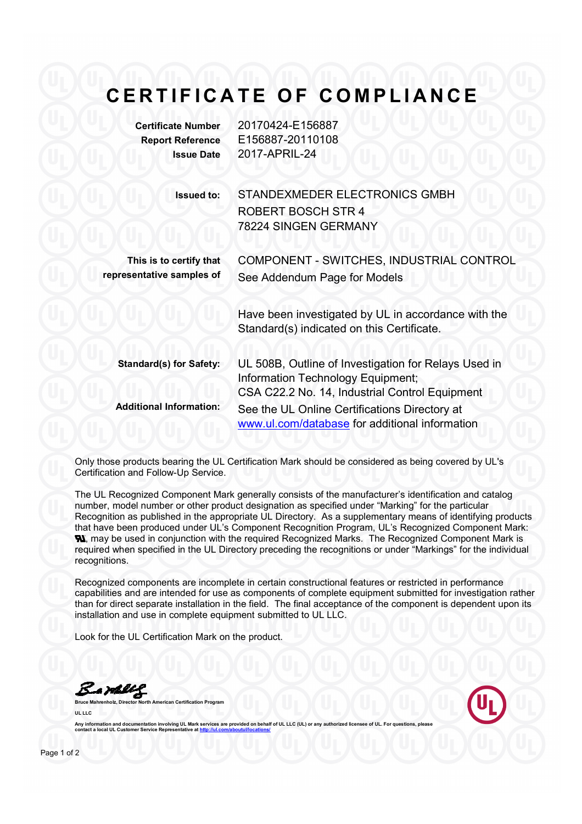## **CERTIFICATE OF COMPLIANCE**

**Certificate Number** 20170424-E156887

| <b>Report Reference</b><br><b>Issue Date</b>         | E156887-20110108<br>2017-APRIL-24                                                                                                           |
|------------------------------------------------------|---------------------------------------------------------------------------------------------------------------------------------------------|
| <b>Issued to:</b>                                    | STANDEXMEDER ELECTRONICS GMBH<br><b>ROBERT BOSCH STR 4</b><br>78224 SINGEN GERMANY                                                          |
| This is to certify that<br>representative samples of | COMPONENT - SWITCHES, INDUSTRIAL CONTROL<br>See Addendum Page for Models                                                                    |
|                                                      | Have been investigated by UL in accordance with the<br>Standard(s) indicated on this Certificate.                                           |
| <b>Standard(s) for Safety:</b>                       | UL 508B, Outline of Investigation for Relays Used in<br>Information Technology Equipment;<br>CSA C22.2 No. 14, Industrial Control Equipment |
| <b>Additional Information:</b>                       | See the UL Online Certifications Directory at<br>www.ul.com/database for additional information                                             |

Only those products bearing the UL Certification Mark should be considered as being covered by UL's Certification and Follow-Up Service.

The UL Recognized Component Mark generally consists of the manufacturer's identification and catalog number, model number or other product designation as specified under "Marking" for the particular Recognition as published in the appropriate UL Directory. As a supplementary means of identifying products that have been produced under UL's Component Recognition Program, UL's Recognized Component Mark: **N.** may be used in conjunction with the required Recognized Marks. The Recognized Component Mark is required when specified in the UL Directory preceding the recognitions or under "Markings" for the individual recognitions.

Recognized components are incomplete in certain constructional features or restricted in performance capabilities and are intended for use as components of complete equipment submitted for investigation rather than for direct separate installation in the field. The final acceptance of the component is dependent upon its installation and use in complete equipment submitted to UL LLC.

Look for the UL Certification Mark on the product.

Bamelly **Bruce Mahrenholz, Director North American Certification Program**

**UL LLC** 

Any information and documentation involving UL Mark services are provided on behalf of UL LLC (UL) or any authorized licensee of UL. For questions, please<br>contact a local UL Customer Service Representative at <u>http://ul.co</u>